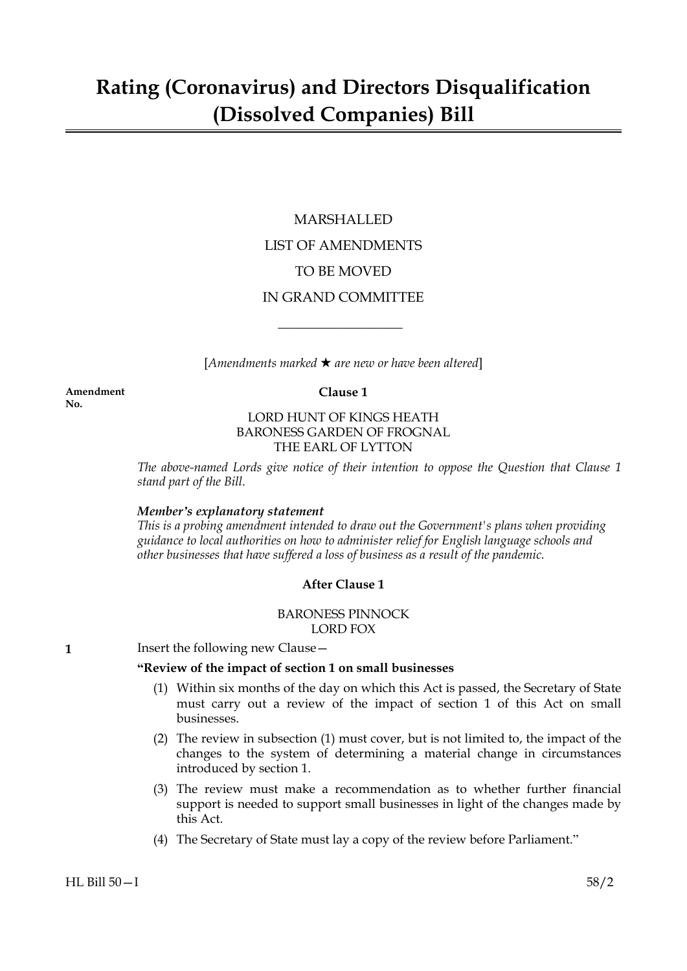## MARSHALLED LIST OF AMENDMENTS TO BE MOVED IN GRAND COMMITTEE

 $[Amendments marked \star are new or have been altered]$ 

 $\overline{\phantom{a}}$  , where  $\overline{\phantom{a}}$ 

**Amendment Clause 1 No.**

## LORD HUNT OF KINGS HEATH BARONESS GARDEN OF FROGNAL THE EARL OF LYTTON

*The above-named Lords give notice of their intention to oppose the Question that Clause 1 stand part of the Bill.*

## *Member's explanatory statement*

*This is a probing amendment intended to draw out the Government's plans when providing guidance to local authorities on how to administer relief for English language schools and other businesses that have suffered a loss of business as a result of the pandemic.*

## **After Clause 1**

## BARONESS PINNOCK LORD FOX

**1** Insert the following new Clause -

## **"Review of the impact of section 1 on small businesses**

- (1) Within six months of the day on which this Act is passed, the Secretary of State must carry out a review of the impact of section 1 of this Act on small businesses.
- (2) The review in subsection (1) must cover, but is not limited to, the impact of the changes to the system of determining a material change in circumstances introduced by section 1.
- (3) The review must make a recommendation as to whether further financial support is needed to support small businesses in light of the changes made by this Act.
- (4) The Secretary of State must lay a copy of the review before Parliament."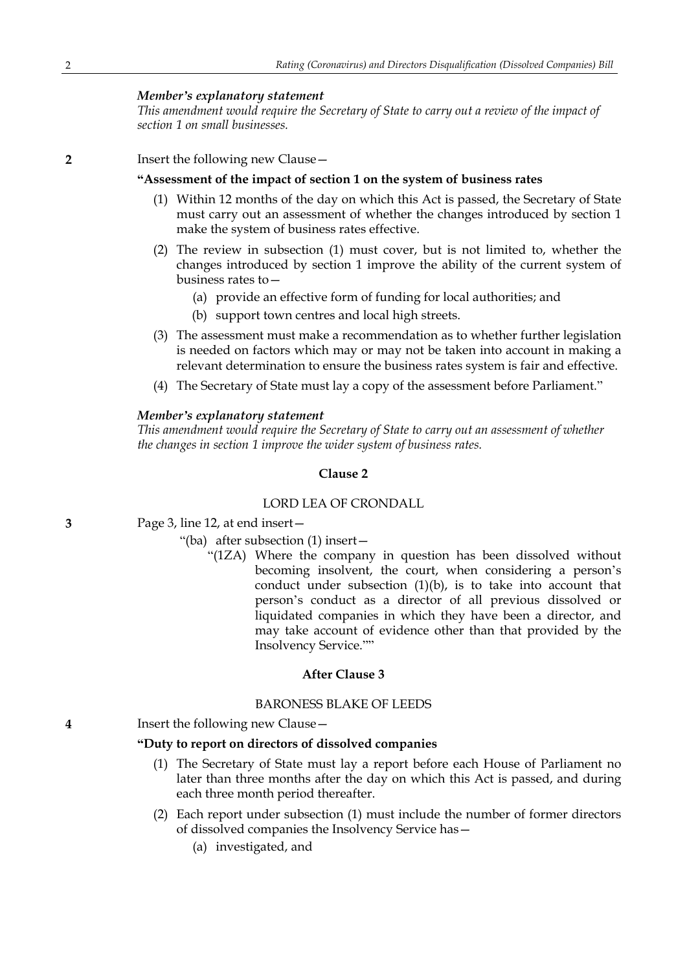## *Member's explanatory statement*

*This amendment would require the Secretary of State to carry out a review of the impact of section 1 on small businesses.*

**2** Insert the following new Clause—

#### **"Assessment of the impact of section 1 on the system of business rates**

- (1) Within 12 months of the day on which this Act is passed, the Secretary of State must carry out an assessment of whether the changes introduced by section 1 make the system of business rates effective.
- (2) The review in subsection (1) must cover, but is not limited to, whether the changes introduced by section 1 improve the ability of the current system of business rates to—
	- (a) provide an effective form of funding for local authorities; and
	- (b) support town centres and local high streets.
- (3) The assessment must make a recommendation as to whether further legislation is needed on factors which may or may not be taken into account in making a relevant determination to ensure the business rates system is fair and effective.
- (4) The Secretary of State must lay a copy of the assessment before Parliament."

#### *Member's explanatory statement*

*This amendment would require the Secretary of State to carry out an assessment of whether the changes in section 1 improve the wider system of business rates.*

## **Clause 2**

#### LORD LEA OF CRONDALL

- **3** Page 3, line 12, at end insert—
	- "(ba) after subsection (1) insert—
		- "(1ZA) Where the company in question has been dissolved without becoming insolvent, the court, when considering a person's conduct under subsection (1)(b), is to take into account that person's conduct as a director of all previous dissolved or liquidated companies in which they have been a director, and may take account of evidence other than that provided by the Insolvency Service.""

## **After Clause 3**

## BARONESS BLAKE OF LEEDS

**4** Insert the following new Clause—

#### **"Duty to report on directors of dissolved companies**

- (1) The Secretary of State must lay a report before each House of Parliament no later than three months after the day on which this Act is passed, and during each three month period thereafter.
- (2) Each report under subsection (1) must include the number of former directors of dissolved companies the Insolvency Service has—
	- (a) investigated, and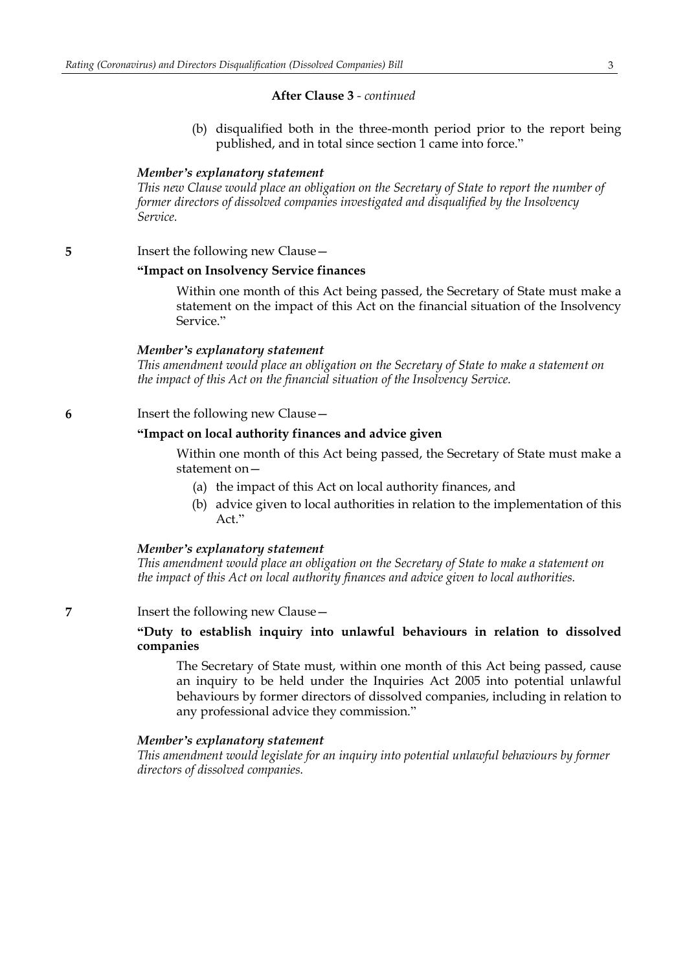#### **After Clause 3** *- continued*

(b) disqualified both in the three-month period prior to the report being published, and in total since section 1 came into force."

#### *Member's explanatory statement*

*This new Clause would place an obligation on the Secretary of State to report the number of former directors of dissolved companies investigated and disqualified by the Insolvency Service.*

#### **5** Insert the following new Clause –

#### **"Impact on Insolvency Service finances**

Within one month of this Act being passed, the Secretary of State must make a statement on the impact of this Act on the financial situation of the Insolvency Service."

#### *Member's explanatory statement*

*This amendment would place an obligation on the Secretary of State to make a statement on the impact of this Act on the financial situation of the Insolvency Service.*

#### **6** Insert the following new Clause—

#### **"Impact on local authority finances and advice given**

Within one month of this Act being passed, the Secretary of State must make a statement on—

- (a) the impact of this Act on local authority finances, and
- (b) advice given to local authorities in relation to the implementation of this Act."

#### *Member's explanatory statement*

*This amendment would place an obligation on the Secretary of State to make a statement on the impact of this Act on local authority finances and advice given to local authorities.*

#### **7** Insert the following new Clause—

## **"Duty to establish inquiry into unlawful behaviours in relation to dissolved companies**

The Secretary of State must, within one month of this Act being passed, cause an inquiry to be held under the Inquiries Act 2005 into potential unlawful behaviours by former directors of dissolved companies, including in relation to any professional advice they commission."

#### *Member's explanatory statement*

*This amendment would legislate for an inquiry into potential unlawful behaviours by former directors of dissolved companies.*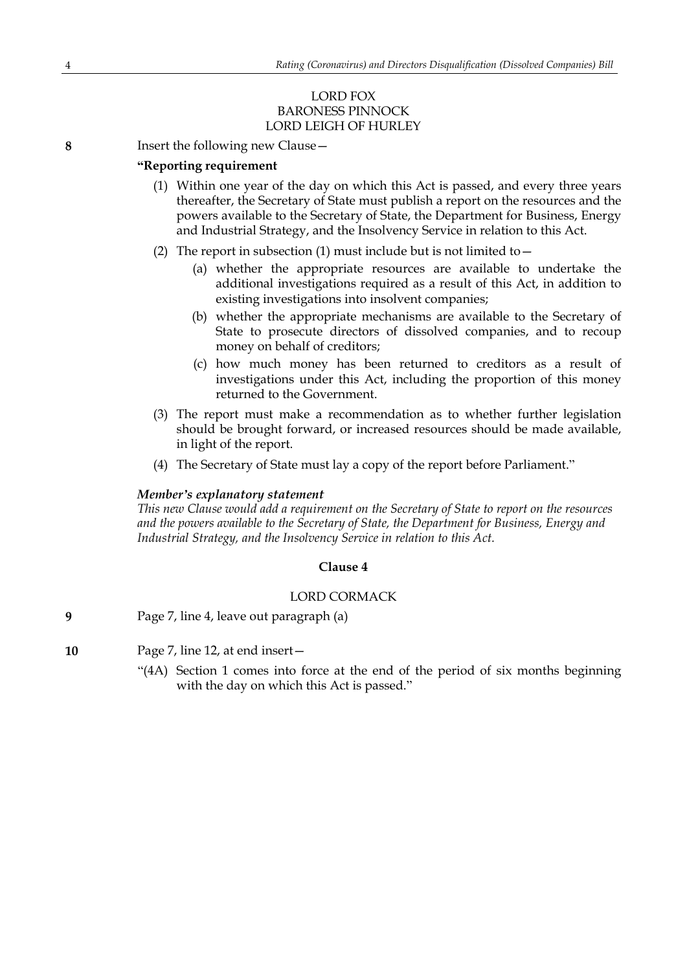## LORD FOX BARONESS PINNOCK LORD LEIGH OF HURLEY

**8** Insert the following new Clause—

## **"Reporting requirement**

- (1) Within one year of the day on which this Act is passed, and every three years thereafter, the Secretary of State must publish a report on the resources and the powers available to the Secretary of State, the Department for Business, Energy and Industrial Strategy, and the Insolvency Service in relation to this Act.
- (2) The report in subsection (1) must include but is not limited to  $-$ 
	- (a) whether the appropriate resources are available to undertake the additional investigations required as a result of this Act, in addition to existing investigations into insolvent companies;
	- (b) whether the appropriate mechanisms are available to the Secretary of State to prosecute directors of dissolved companies, and to recoup money on behalf of creditors;
	- (c) how much money has been returned to creditors as a result of investigations under this Act, including the proportion of this money returned to the Government.
- (3) The report must make a recommendation as to whether further legislation should be brought forward, or increased resources should be made available, in light of the report.
- (4) The Secretary of State must lay a copy of the report before Parliament."

## *Member's explanatory statement*

*This new Clause would add a requirement on the Secretary of State to report on the resources and the powers available to the Secretary of State, the Department for Business, Energy and Industrial Strategy, and the Insolvency Service in relation to this Act.*

## **Clause 4**

## LORD CORMACK

**9** Page 7, line 4, leave out paragraph (a)

**10** Page 7, line 12, at end insert—

"(4A) Section 1 comes into force at the end of the period of six months beginning with the day on which this Act is passed."